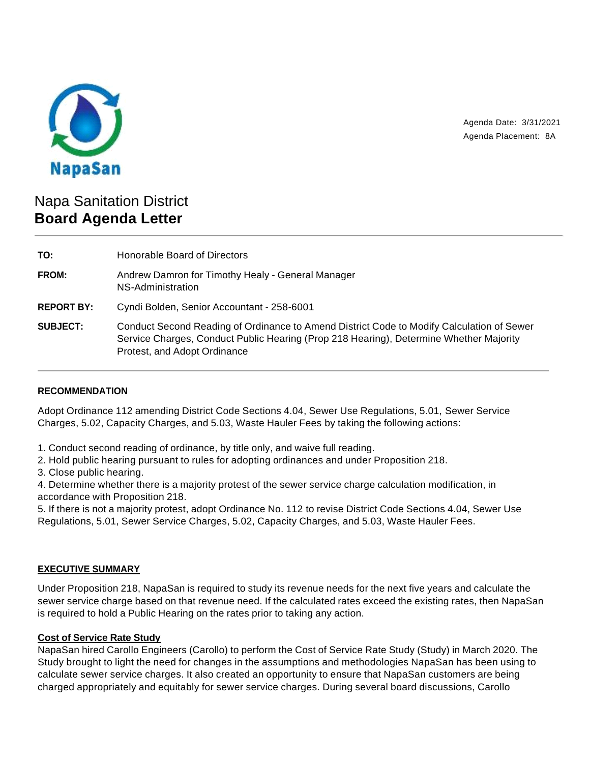

Agenda Date: 3/31/2021 Agenda Placement: 8A

# Napa Sanitation District **Board Agenda Letter**

**TO:** Honorable Board of Directors **FROM:** Andrew Damron for Timothy Healy - General Manager NS-Administration **REPORT BY:** Cyndi Bolden, Senior Accountant - 258-6001 **SUBJECT:** Conduct Second Reading of Ordinance to Amend District Code to Modify Calculation of Sewer Service Charges, Conduct Public Hearing (Prop 218 Hearing), Determine Whether Majority Protest, and Adopt Ordinance

## **RECOMMENDATION**

Adopt Ordinance 112 amending District Code Sections 4.04, Sewer Use Regulations, 5.01, Sewer Service Charges, 5.02, Capacity Charges, and 5.03, Waste Hauler Fees by taking the following actions:

1. Conduct second reading of ordinance, by title only, and waive full reading.

2. Hold public hearing pursuant to rules for adopting ordinances and under Proposition 218.

3. Close public hearing.

4. Determine whether there is a majority protest of the sewer service charge calculation modification, in accordance with Proposition 218.

5. If there is not a majority protest, adopt Ordinance No. 112 to revise District Code Sections 4.04, Sewer Use Regulations, 5.01, Sewer Service Charges, 5.02, Capacity Charges, and 5.03, Waste Hauler Fees.

## **EXECUTIVE SUMMARY**

Under Proposition 218, NapaSan is required to study its revenue needs for the next five years and calculate the sewer service charge based on that revenue need. If the calculated rates exceed the existing rates, then NapaSan is required to hold a Public Hearing on the rates prior to taking any action.

#### **Cost of Service Rate Study**

NapaSan hired Carollo Engineers (Carollo) to perform the Cost of Service Rate Study (Study) in March 2020. The Study brought to light the need for changes in the assumptions and methodologies NapaSan has been using to calculate sewer service charges. It also created an opportunity to ensure that NapaSan customers are being charged appropriately and equitably for sewer service charges. During several board discussions, Carollo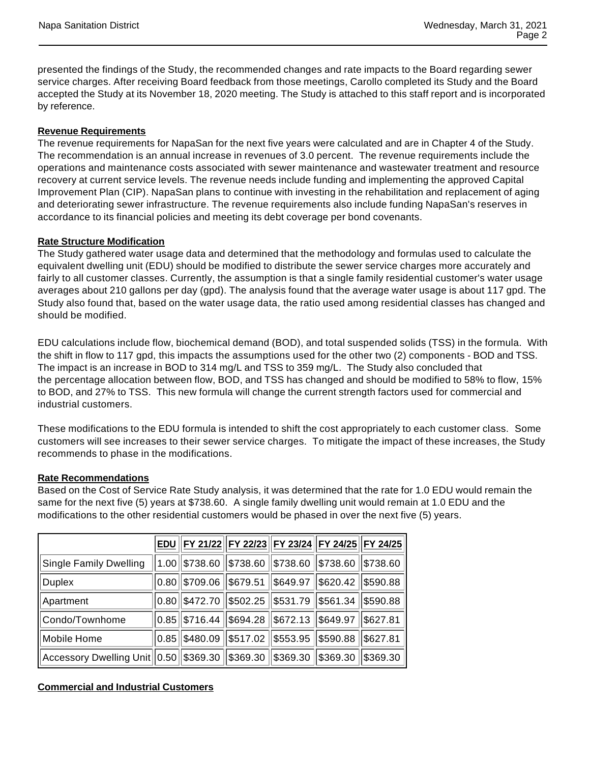presented the findings of the Study, the recommended changes and rate impacts to the Board regarding sewer service charges. After receiving Board feedback from those meetings, Carollo completed its Study and the Board accepted the Study at its November 18, 2020 meeting. The Study is attached to this staff report and is incorporated by reference.

# **Revenue Requirements**

The revenue requirements for NapaSan for the next five years were calculated and are in Chapter 4 of the Study. The recommendation is an annual increase in revenues of 3.0 percent. The revenue requirements include the operations and maintenance costs associated with sewer maintenance and wastewater treatment and resource recovery at current service levels. The revenue needs include funding and implementing the approved Capital Improvement Plan (CIP). NapaSan plans to continue with investing in the rehabilitation and replacement of aging and deteriorating sewer infrastructure. The revenue requirements also include funding NapaSan's reserves in accordance to its financial policies and meeting its debt coverage per bond covenants.

# **Rate Structure Modification**

The Study gathered water usage data and determined that the methodology and formulas used to calculate the equivalent dwelling unit (EDU) should be modified to distribute the sewer service charges more accurately and fairly to all customer classes. Currently, the assumption is that a single family residential customer's water usage averages about 210 gallons per day (gpd). The analysis found that the average water usage is about 117 gpd. The Study also found that, based on the water usage data, the ratio used among residential classes has changed and should be modified.

EDU calculations include flow, biochemical demand (BOD), and total suspended solids (TSS) in the formula. With the shift in flow to 117 gpd, this impacts the assumptions used for the other two (2) components - BOD and TSS. The impact is an increase in BOD to 314 mg/L and TSS to 359 mg/L. The Study also concluded that the percentage allocation between flow, BOD, and TSS has changed and should be modified to 58% to flow, 15% to BOD, and 27% to TSS. This new formula will change the current strength factors used for commercial and industrial customers.

These modifications to the EDU formula is intended to shift the cost appropriately to each customer class. Some customers will see increases to their sewer service charges. To mitigate the impact of these increases, the Study recommends to phase in the modifications.

## **Rate Recommendations**

Based on the Cost of Service Rate Study analysis, it was determined that the rate for 1.0 EDU would remain the same for the next five (5) years at \$738.60. A single family dwelling unit would remain at 1.0 EDU and the modifications to the other residential customers would be phased in over the next five (5) years.

|                                                                                     |  | EDU  FY 21/22 FY 22/23 FY 23/24 FY 24/25 FY 24/25                           |  |
|-------------------------------------------------------------------------------------|--|-----------------------------------------------------------------------------|--|
| Single Family Dwelling                                                              |  | $\ 1.00\ $ \$738.60 $\ $ \$738.60 $\ $ \$738.60 $\ $ \$738.60 $\ $ \$738.60 |  |
| <b>Duplex</b>                                                                       |  | $ 0.80 $ \$709.06 $ $ \$679.51 $ $ \$649.97 $ $ \$620.42 $ $ \$590.88       |  |
| Apartment                                                                           |  | $ 0.80 $ \$472.70 $ $ \$502.25 $ $ \$531.79 $ $ \$561.34 $ $ \$590.88       |  |
| Condo/Townhome                                                                      |  | 0.85  \$716.44   \$694.28   \$672.13   \$649.97   \$627.81                  |  |
| Mobile Home                                                                         |  | $ 0.85 $ \$480.09 $ $ \$517.02 $ $ \$553.95 $ $ \$590.88 $ $ \$627.81       |  |
| Accessory Dwelling Unit  0.50  \$369.30   \$369.30   \$369.30   \$369.30   \$369.30 |  |                                                                             |  |

# **Commercial and Industrial Customers**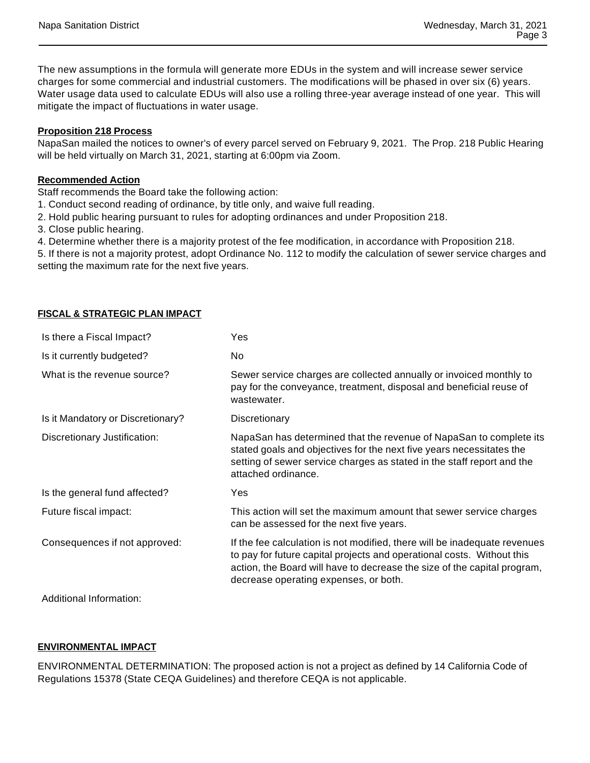The new assumptions in the formula will generate more EDUs in the system and will increase sewer service charges for some commercial and industrial customers. The modifications will be phased in over six (6) years. Water usage data used to calculate EDUs will also use a rolling three-year average instead of one year. This will mitigate the impact of fluctuations in water usage.

## **Proposition 218 Process**

NapaSan mailed the notices to owner's of every parcel served on February 9, 2021. The Prop. 218 Public Hearing will be held virtually on March 31, 2021, starting at 6:00pm via Zoom.

## **Recommended Action**

Staff recommends the Board take the following action:

- 1. Conduct second reading of ordinance, by title only, and waive full reading.
- 2. Hold public hearing pursuant to rules for adopting ordinances and under Proposition 218.
- 3. Close public hearing.
- 4. Determine whether there is a majority protest of the fee modification, in accordance with Proposition 218.

5. If there is not a majority protest, adopt Ordinance No. 112 to modify the calculation of sewer service charges and setting the maximum rate for the next five years.

### **FISCAL & STRATEGIC PLAN IMPACT**

| Is there a Fiscal Impact?         | Yes                                                                                                                                                                                                                                                                      |
|-----------------------------------|--------------------------------------------------------------------------------------------------------------------------------------------------------------------------------------------------------------------------------------------------------------------------|
| Is it currently budgeted?         | No                                                                                                                                                                                                                                                                       |
| What is the revenue source?       | Sewer service charges are collected annually or invoiced monthly to<br>pay for the conveyance, treatment, disposal and beneficial reuse of<br>wastewater.                                                                                                                |
| Is it Mandatory or Discretionary? | Discretionary                                                                                                                                                                                                                                                            |
| Discretionary Justification:      | NapaSan has determined that the revenue of NapaSan to complete its<br>stated goals and objectives for the next five years necessitates the<br>setting of sewer service charges as stated in the staff report and the<br>attached ordinance.                              |
| Is the general fund affected?     | Yes                                                                                                                                                                                                                                                                      |
| Future fiscal impact:             | This action will set the maximum amount that sewer service charges<br>can be assessed for the next five years.                                                                                                                                                           |
| Consequences if not approved:     | If the fee calculation is not modified, there will be inadequate revenues<br>to pay for future capital projects and operational costs. Without this<br>action, the Board will have to decrease the size of the capital program,<br>decrease operating expenses, or both. |
| Additional Information:           |                                                                                                                                                                                                                                                                          |

### **ENVIRONMENTAL IMPACT**

ENVIRONMENTAL DETERMINATION: The proposed action is not a project as defined by 14 California Code of Regulations 15378 (State CEQA Guidelines) and therefore CEQA is not applicable.